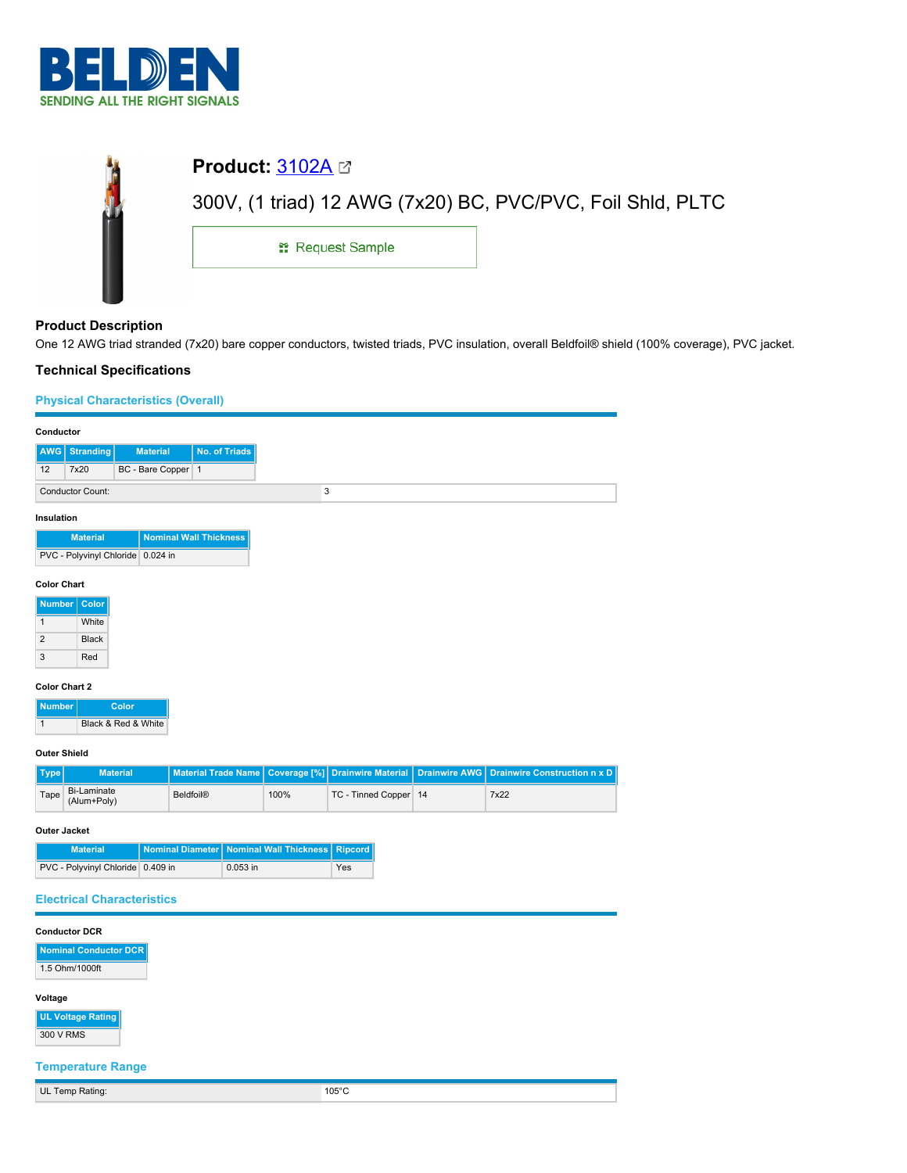

| <b>Product: 3102A <math>\boxtimes</math></b>               |  |
|------------------------------------------------------------|--|
| 300V, (1 triad) 12 AWG (7x20) BC, PVC/PVC, Foil Shld, PLTC |  |
| <b>: Request Sample</b>                                    |  |
|                                                            |  |

## **Product Description**

One 12 AWG triad stranded (7x20) bare copper conductors, twisted triads, PVC insulation, overall Beldfoil® shield (100% coverage), PVC jacket.

## **Technical Specifications**

## **Physical Characteristics (Overall)**

| Conductor                                        |                                                      |                  |                  |                                                 |                       |                            |              |                           |                      |                                     |
|--------------------------------------------------|------------------------------------------------------|------------------|------------------|-------------------------------------------------|-----------------------|----------------------------|--------------|---------------------------|----------------------|-------------------------------------|
| AWG                                              | No. of Triads<br><b>Stranding</b><br><b>Material</b> |                  |                  |                                                 |                       |                            |              |                           |                      |                                     |
| 12                                               | 7x20                                                 |                  | BC - Bare Copper |                                                 | $\mathbf{1}$          |                            |              |                           |                      |                                     |
|                                                  | 3<br><b>Conductor Count:</b>                         |                  |                  |                                                 |                       |                            |              |                           |                      |                                     |
|                                                  | Insulation                                           |                  |                  |                                                 |                       |                            |              |                           |                      |                                     |
| <b>Nominal Wall Thickness</b><br><b>Material</b> |                                                      |                  |                  |                                                 |                       |                            |              |                           |                      |                                     |
|                                                  | PVC - Polyvinyl Chloride 0.024 in                    |                  |                  |                                                 |                       |                            |              |                           |                      |                                     |
| <b>Color Chart</b>                               |                                                      |                  |                  |                                                 |                       |                            |              |                           |                      |                                     |
| <b>Number</b>                                    | Color                                                |                  |                  |                                                 |                       |                            |              |                           |                      |                                     |
| $\mathbf{1}$                                     | White                                                |                  |                  |                                                 |                       |                            |              |                           |                      |                                     |
| $\overline{c}$<br><b>Black</b>                   |                                                      |                  |                  |                                                 |                       |                            |              |                           |                      |                                     |
| 3                                                | Red                                                  |                  |                  |                                                 |                       |                            |              |                           |                      |                                     |
|                                                  | <b>Color Chart 2</b>                                 |                  |                  |                                                 |                       |                            |              |                           |                      |                                     |
| <b>Number</b>                                    |                                                      | Color            |                  |                                                 |                       |                            |              |                           |                      |                                     |
| $\mathbf{1}$                                     | Black & Red & White                                  |                  |                  |                                                 |                       |                            |              |                           |                      |                                     |
| <b>Outer Shield</b>                              |                                                      |                  |                  |                                                 |                       |                            |              |                           |                      |                                     |
| <b>Type</b>                                      |                                                      | <b>Material</b>  |                  |                                                 |                       | <b>Material Trade Name</b> | Coverage [%] | <b>Drainwire Material</b> | <b>Drainwire AWG</b> | <b>Drainwire Construction n x D</b> |
| <b>Bi-Laminate</b><br>Tape<br>(Alum+Poly)        |                                                      | <b>Beldfoil®</b> |                  | 100%                                            | TC - Tinned Copper 14 |                            | 7x22         |                           |                      |                                     |
| <b>Outer Jacket</b>                              |                                                      |                  |                  |                                                 |                       |                            |              |                           |                      |                                     |
| Nominal Diameter<br><b>Material</b>              |                                                      |                  |                  | <b>Nominal Wall Thickness</b><br><b>Ripcord</b> |                       |                            |              |                           |                      |                                     |
|                                                  | PVC - Polyvinyl Chloride 0.409 in                    |                  |                  |                                                 |                       | 0.053 in                   |              | Yes                       |                      |                                     |
|                                                  | <b>Electrical Characteristics</b>                    |                  |                  |                                                 |                       |                            |              |                           |                      |                                     |
|                                                  |                                                      |                  |                  |                                                 |                       |                            |              |                           |                      |                                     |
|                                                  | <b>Conductor DCR</b>                                 |                  |                  |                                                 |                       |                            |              |                           |                      |                                     |
|                                                  | <b>Nominal Conductor DCR</b>                         |                  |                  |                                                 |                       |                            |              |                           |                      |                                     |
| 1.5 Ohm/1000ft                                   |                                                      |                  |                  |                                                 |                       |                            |              |                           |                      |                                     |
| Voltage                                          |                                                      |                  |                  |                                                 |                       |                            |              |                           |                      |                                     |
| <b>UL Voltage Rating</b><br>300 V RMS            |                                                      |                  |                  |                                                 |                       |                            |              |                           |                      |                                     |
|                                                  | <b>Temperature Range</b>                             |                  |                  |                                                 |                       |                            |              |                           |                      |                                     |
|                                                  | UL Temp Rating:                                      |                  |                  |                                                 |                       |                            |              | $105^{\circ}$ C           |                      |                                     |